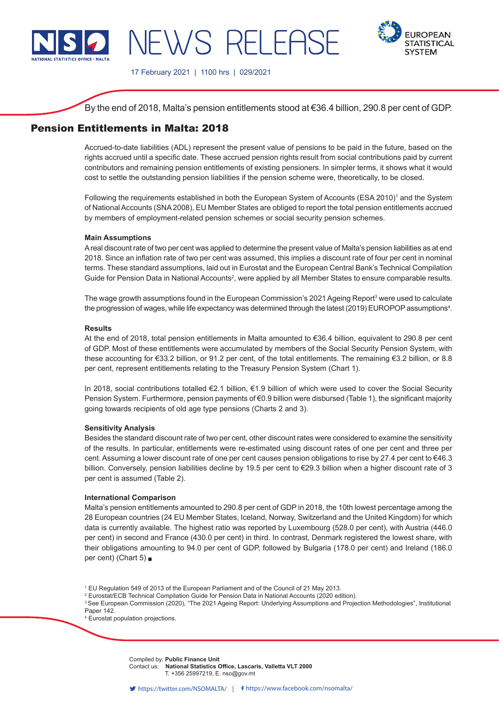

# NEWS RELEASE



17 February 2021 | 1100 hrs | 029/2021

By the end of 2018, Malta's pension entitlements stood at €36.4 billion, 290.8 per cent of GDP.

# Pension Entitlements in Malta: 2018

Accrued-to-date liabilities (ADL) represent the present value of pensions to be paid in the future, based on the rights accrued until a specific date. These accrued pension rights result from social contributions paid by current contributors and remaining pension entitlements of existing pensioners. In simpler terms, it shows what it would cost to settle the outstanding pension liabilities if the pension scheme were, theoretically, to be closed.

Following the requirements established in both the European System of Accounts (ESA 2010)<sup>1</sup> and the System of National Accounts (SNA 2008), EU Member States are obliged to report the total pension entitlements accrued by members of employment-related pension schemes or social security pension schemes.

### **Main Assumptions**

A real discount rate of two per cent was applied to determine the present value of Malta's pension liabilities as at end 2018. Since an inflation rate of two per cent was assumed, this implies a discount rate of four per cent in nominal terms. These standard assumptions, laid out in Eurostat and the European Central Bank's Technical Compilation Guide for Pension Data in National Accounts<sup>2</sup>, were applied by all Member States to ensure comparable results.

The wage growth assumptions found in the European Commission's 2021 Ageing Report $\rm{^3}$  were used to calculate the progression of wages, while life expectancy was determined through the latest (2019) EUROPOP assumptions<sup>4</sup>.

### **Results**

At the end of 2018, total pension entitlements in Malta amounted to €36.4 billion, equivalent to 290.8 per cent of GDP. Most of these entitlements were accumulated by members of the Social Security Pension System, with these accounting for €33.2 billion, or 91.2 per cent, of the total entitlements. The remaining €3.2 billion, or 8.8 per cent, represent entitlements relating to the Treasury Pension System (Chart 1).

In 2018, social contributions totalled €2.1 billion, €1.9 billion of which were used to cover the Social Security Pension System. Furthermore, pension payments of €0.9 billion were disbursed (Table 1), the significant majority going towards recipients of old age type pensions (Charts 2 and 3).

### **Sensitivity Analysis**

Besides the standard discount rate of two per cent, other discount rates were considered to examine the sensitivity of the results. In particular, entitlements were re-estimated using discount rates of one per cent and three per cent. Assuming a lower discount rate of one per cent causes pension obligations to rise by 27.4 per cent to €46.3 billion. Conversely, pension liabilities decline by 19.5 per cent to €29.3 billion when a higher discount rate of 3 per cent is assumed (Table 2).

### **International Comparison**

Malta's pension entitlements amounted to 290.8 per cent of GDP in 2018, the 10th lowest percentage among the 28 European countries (24 EU Member States, Iceland, Norway, Switzerland and the United Kingdom) for which data is currently available. The highest ratio was reported by Luxembourg (528.0 per cent), with Austria (446.0 per cent) in second and France (430.0 per cent) in third. In contrast, Denmark registered the lowest share, with their obligations amounting to 94.0 per cent of GDP, followed by Bulgaria (178.0 per cent) and Ireland (186.0 per cent) (Chart 5) ■

1 EU Regulation 549 of 2013 of the European Parliament and of the Council of 21 May 2013.

2 Eurostat/ECB Technical Compilation Guide for Pension Data in National Accounts (2020 edition).

<sup>3</sup>See European Commission (2020), "The 2021 Ageing Report: Underlying Assumptions and Projection Methodologies", Institutional Paper 142.

4 Eurostat population projections.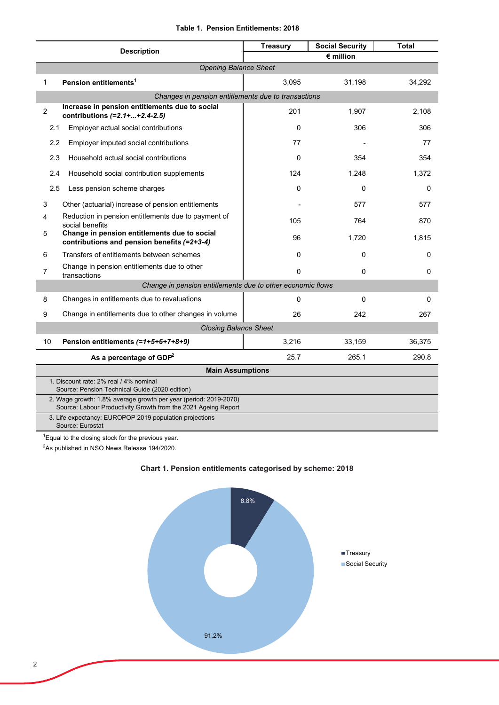|  |  | Table 1. Pension Entitlements: 2018 |  |
|--|--|-------------------------------------|--|
|--|--|-------------------------------------|--|

| <b>Description</b>                                                                                                                 |                                                                                             | <b>Treasury</b>    | <b>Social Security</b> | <b>Total</b> |  |  |  |
|------------------------------------------------------------------------------------------------------------------------------------|---------------------------------------------------------------------------------------------|--------------------|------------------------|--------------|--|--|--|
|                                                                                                                                    |                                                                                             | $\epsilon$ million |                        |              |  |  |  |
| <b>Opening Balance Sheet</b>                                                                                                       |                                                                                             |                    |                        |              |  |  |  |
| 1                                                                                                                                  | Pension entitlements <sup>1</sup>                                                           | 3,095              | 31,198                 | 34,292       |  |  |  |
|                                                                                                                                    | Changes in pension entitlements due to transactions                                         |                    |                        |              |  |  |  |
| $\overline{2}$                                                                                                                     | Increase in pension entitlements due to social<br>contributions $(=2.1 +  + 2.4 - 2.5)$     | 201                | 1,907                  | 2,108        |  |  |  |
| 2.1                                                                                                                                | Employer actual social contributions                                                        | $\mathbf{0}$       | 306                    | 306          |  |  |  |
| 2.2                                                                                                                                | Employer imputed social contributions                                                       | 77                 |                        | 77           |  |  |  |
| 2.3                                                                                                                                | Household actual social contributions                                                       | $\Omega$           | 354                    | 354          |  |  |  |
| 2.4                                                                                                                                | Household social contribution supplements                                                   | 124                | 1,248                  | 1,372        |  |  |  |
| 2.5                                                                                                                                | Less pension scheme charges                                                                 | $\mathbf{0}$       | 0                      | $\Omega$     |  |  |  |
| 3                                                                                                                                  | Other (actuarial) increase of pension entitlements                                          |                    | 577                    | 577          |  |  |  |
| 4                                                                                                                                  | Reduction in pension entitlements due to payment of<br>social benefits                      | 105                | 764                    | 870          |  |  |  |
| 5                                                                                                                                  | Change in pension entitlements due to social<br>contributions and pension benefits (=2+3-4) | 96                 | 1,720                  | 1,815        |  |  |  |
| 6                                                                                                                                  | Transfers of entitlements between schemes                                                   | $\Omega$           | 0                      | 0            |  |  |  |
| 7                                                                                                                                  | Change in pension entitlements due to other<br>transactions                                 | $\mathbf 0$        | 0                      | 0            |  |  |  |
| Change in pension entitlements due to other economic flows                                                                         |                                                                                             |                    |                        |              |  |  |  |
| 8                                                                                                                                  | Changes in entitlements due to revaluations                                                 | $\Omega$           | 0                      | 0            |  |  |  |
| 9                                                                                                                                  | Change in entitlements due to other changes in volume                                       | 26                 | 242                    | 267          |  |  |  |
| <b>Closing Balance Sheet</b>                                                                                                       |                                                                                             |                    |                        |              |  |  |  |
| 10                                                                                                                                 | Pension entitlements (=1+5+6+7+8+9)                                                         | 3,216              | 33,159                 | 36,375       |  |  |  |
| As a percentage of $GDP2$                                                                                                          |                                                                                             | 25.7               | 265.1                  | 290.8        |  |  |  |
| <b>Main Assumptions</b>                                                                                                            |                                                                                             |                    |                        |              |  |  |  |
| 1. Discount rate: 2% real / 4% nominal<br>Source: Pension Technical Guide (2020 edition)                                           |                                                                                             |                    |                        |              |  |  |  |
| 2. Wage growth: 1.8% average growth per year (period: 2019-2070)<br>Source: Labour Productivity Growth from the 2021 Ageing Report |                                                                                             |                    |                        |              |  |  |  |
|                                                                                                                                    | 3. Life expectancy: EUROPOP 2019 population projections<br>Source: Eurostat                 |                    |                        |              |  |  |  |

 ${}^{1}$ Equal to the closing stock for the previous year.

 $^{2}$ As published in NSO News Release 194/2020.



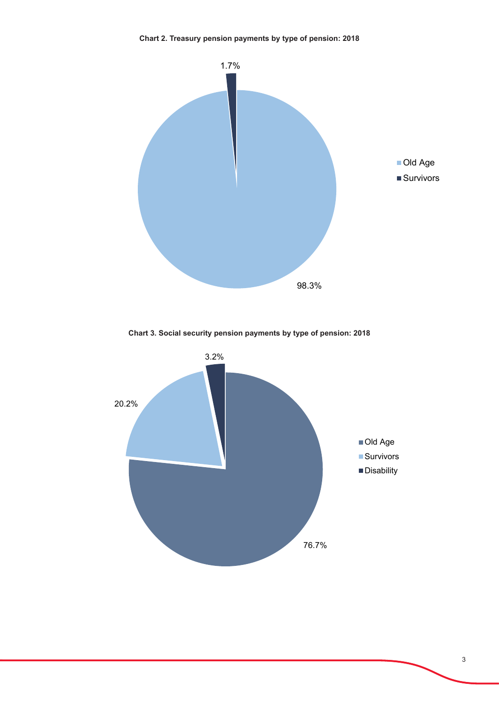

**Chart 3. Social security pension payments by type of pension: 2018**

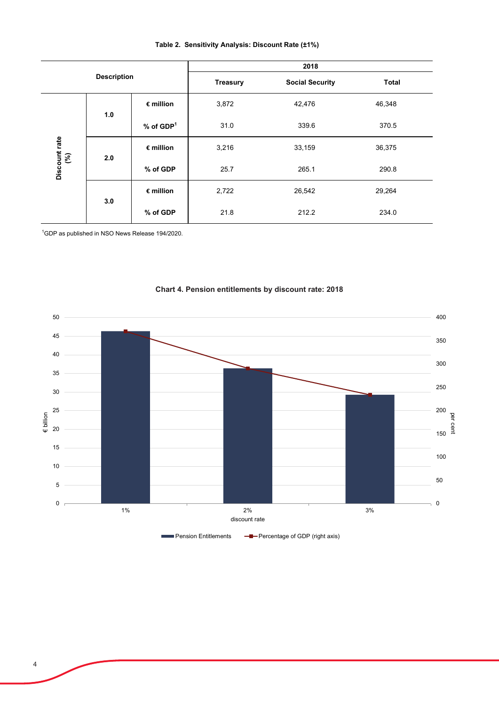| <b>Description</b>   |     |                         | 2018            |                        |              |  |
|----------------------|-----|-------------------------|-----------------|------------------------|--------------|--|
|                      |     |                         | <b>Treasury</b> | <b>Social Security</b> | <b>Total</b> |  |
| Discount rate<br>(%) | 1.0 | $\epsilon$ million      | 3,872           | 42,476                 | 46,348       |  |
|                      |     | $%$ of GDP <sup>1</sup> | 31.0            | 339.6                  | 370.5        |  |
|                      | 2.0 | $\epsilon$ million      | 3,216           | 33,159                 | 36,375       |  |
|                      |     | % of GDP                | 25.7            | 265.1                  | 290.8        |  |
|                      | 3.0 | $\epsilon$ million      | 2,722           | 26,542                 | 29,264       |  |
|                      |     | % of GDP                | 21.8            | 212.2                  | 234.0        |  |

#### **Table 2. Sensitivity Analysis: Discount Rate (±1%)**

1 GDP as published in NSO News Release 194/2020.



## **Chart 4. Pension entitlements by discount rate: 2018**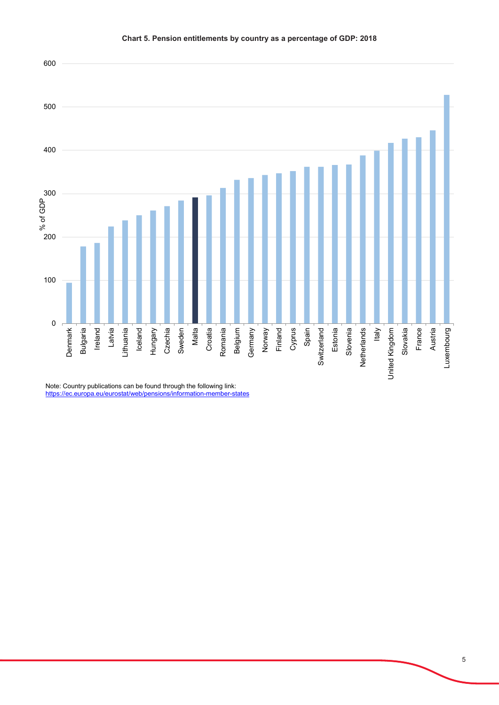

Note: Country publications can be found through the following link: https://ec.europa.eu/eurostat/web/pensions/information-member-states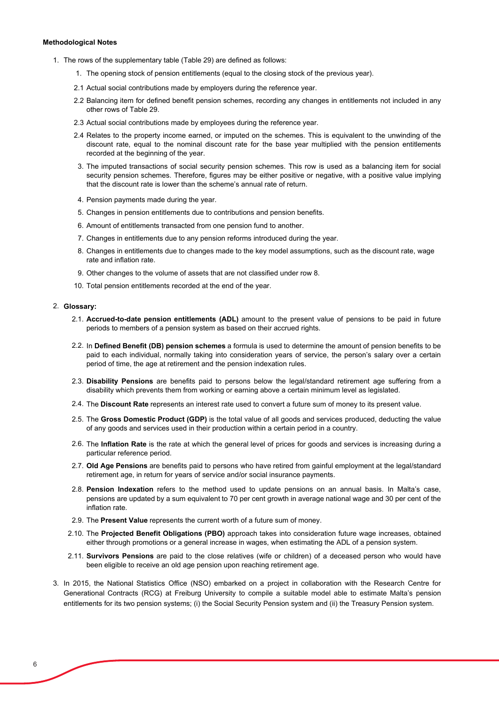#### **Methodological Notes**

- 1. The rows of the supplementary table (Table 29) are defined as follows:
	- 1. The opening stock of pension entitlements (equal to the closing stock of the previous year).
	- 2.1 Actual social contributions made by employers during the reference year.
	- 2.2 Balancing item for defined benefit pension schemes, recording any changes in entitlements not included in any other rows of Table 29.
	- 2.3 Actual social contributions made by employees during the reference year.
	- 2.4 Relates to the property income earned, or imputed on the schemes. This is equivalent to the unwinding of the discount rate, equal to the nominal discount rate for the base year multiplied with the pension entitlements recorded at the beginning of the year.
	- 3. The imputed transactions of social security pension schemes. This row is used as a balancing item for social security pension schemes. Therefore, figures may be either positive or negative, with a positive value implying that the discount rate is lower than the scheme's annual rate of return.
	- 4. Pension payments made during the year.
	- 5. Changes in pension entitlements due to contributions and pension benefits.
	- 6. Amount of entitlements transacted from one pension fund to another.
	- 7. Changes in entitlements due to any pension reforms introduced during the year.
	- 8. Changes in entitlements due to changes made to the key model assumptions, such as the discount rate, wage rate and inflation rate.
	- 9. Other changes to the volume of assets that are not classified under row 8.
	- 10. Total pension entitlements recorded at the end of the year.

#### 2. **Glossary:**

- 2.1. **Accrued-to-date pension entitlements (ADL)** amount to the present value of pensions to be paid in future periods to members of a pension system as based on their accrued rights.
- 2.2. In **Defined Benefit (DB) pension schemes** a formula is used to determine the amount of pension benefits to be paid to each individual, normally taking into consideration years of service, the person's salary over a certain period of time, the age at retirement and the pension indexation rules.
- 2.3. **Disability Pensions** are benefits paid to persons below the legal/standard retirement age suffering from a disability which prevents them from working or earning above a certain minimum level as legislated.
- 2.4. The **Discount Rate** represents an interest rate used to convert a future sum of money to its present value.
- 2.5. The **Gross Domestic Product (GDP)** is the total value of all goods and services produced, deducting the value of any goods and services used in their production within a certain period in a country.
- 2.6. The **Inflation Rate** is the rate at which the general level of prices for goods and services is increasing during a particular reference period.
- 2.7. **Old Age Pensions** are benefits paid to persons who have retired from gainful employment at the legal/standard retirement age, in return for years of service and/or social insurance payments.
- 2.8. **Pension Indexation** refers to the method used to update pensions on an annual basis. In Malta's case, pensions are updated by a sum equivalent to 70 per cent growth in average national wage and 30 per cent of the inflation rate.
- 2.9. The **Present Value** represents the current worth of a future sum of money.
- 2.10. The **Projected Benefit Obligations (PBO)** approach takes into consideration future wage increases, obtained either through promotions or a general increase in wages, when estimating the ADL of a pension system.
- 2.11. **Survivors Pensions** are paid to the close relatives (wife or children) of a deceased person who would have been eligible to receive an old age pension upon reaching retirement age.
- 3. In 2015, the National Statistics Office (NSO) embarked on a project in collaboration with the Research Centre for Generational Contracts (RCG) at Freiburg University to compile a suitable model able to estimate Malta's pension entitlements for its two pension systems; (i) the Social Security Pension system and (ii) the Treasury Pension system.